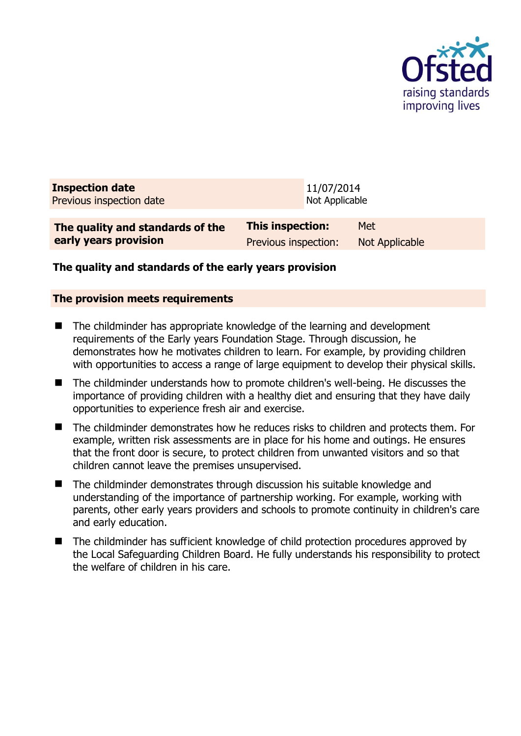

| <b>Inspection date</b><br>Previous inspection date | 11/07/2014<br>Not Applicable |                       |
|----------------------------------------------------|------------------------------|-----------------------|
| The quality and standards of the                   | This inspection:             | Met                   |
| early years provision                              | Previous inspection:         | <b>Not Applicable</b> |

## **The quality and standards of the early years provision**

#### **The provision meets requirements**

- The childminder has appropriate knowledge of the learning and development requirements of the Early years Foundation Stage. Through discussion, he demonstrates how he motivates children to learn. For example, by providing children with opportunities to access a range of large equipment to develop their physical skills.
- The childminder understands how to promote children's well-being. He discusses the importance of providing children with a healthy diet and ensuring that they have daily opportunities to experience fresh air and exercise.
- The childminder demonstrates how he reduces risks to children and protects them. For example, written risk assessments are in place for his home and outings. He ensures that the front door is secure, to protect children from unwanted visitors and so that children cannot leave the premises unsupervised.
- The childminder demonstrates through discussion his suitable knowledge and understanding of the importance of partnership working. For example, working with parents, other early years providers and schools to promote continuity in children's care and early education.
- The childminder has sufficient knowledge of child protection procedures approved by the Local Safeguarding Children Board. He fully understands his responsibility to protect the welfare of children in his care.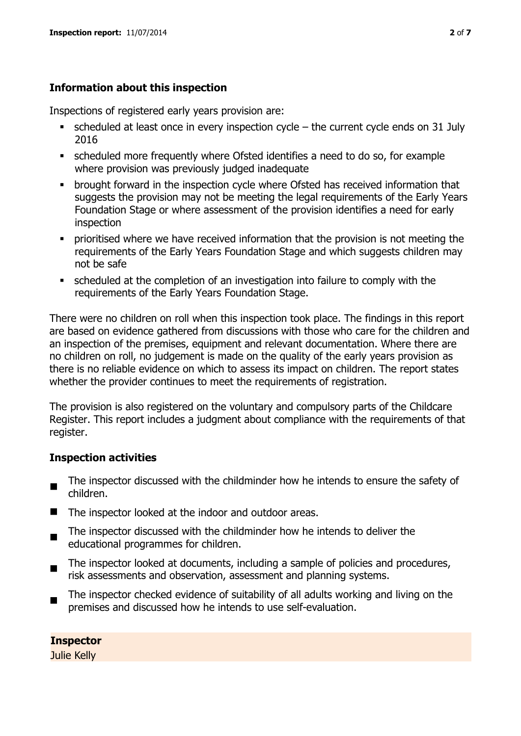## **Information about this inspection**

Inspections of registered early years provision are:

- scheduled at least once in every inspection cycle the current cycle ends on 31 July 2016
- scheduled more frequently where Ofsted identifies a need to do so, for example where provision was previously judged inadequate
- **•** brought forward in the inspection cycle where Ofsted has received information that suggests the provision may not be meeting the legal requirements of the Early Years Foundation Stage or where assessment of the provision identifies a need for early inspection
- **•** prioritised where we have received information that the provision is not meeting the requirements of the Early Years Foundation Stage and which suggests children may not be safe
- scheduled at the completion of an investigation into failure to comply with the requirements of the Early Years Foundation Stage.

There were no children on roll when this inspection took place. The findings in this report are based on evidence gathered from discussions with those who care for the children and an inspection of the premises, equipment and relevant documentation. Where there are no children on roll, no judgement is made on the quality of the early years provision as there is no reliable evidence on which to assess its impact on children. The report states whether the provider continues to meet the requirements of registration.

The provision is also registered on the voluntary and compulsory parts of the Childcare Register. This report includes a judgment about compliance with the requirements of that register.

## **Inspection activities**

- $\blacksquare$ The inspector discussed with the childminder how he intends to ensure the safety of children.
- The inspector looked at the indoor and outdoor areas.
- $\blacksquare$ The inspector discussed with the childminder how he intends to deliver the educational programmes for children.
- $\blacksquare$ The inspector looked at documents, including a sample of policies and procedures, risk assessments and observation, assessment and planning systems.
- The inspector checked evidence of suitability of all adults working and living on the premises and discussed how he intends to use self-evaluation.

**Inspector**  Julie Kelly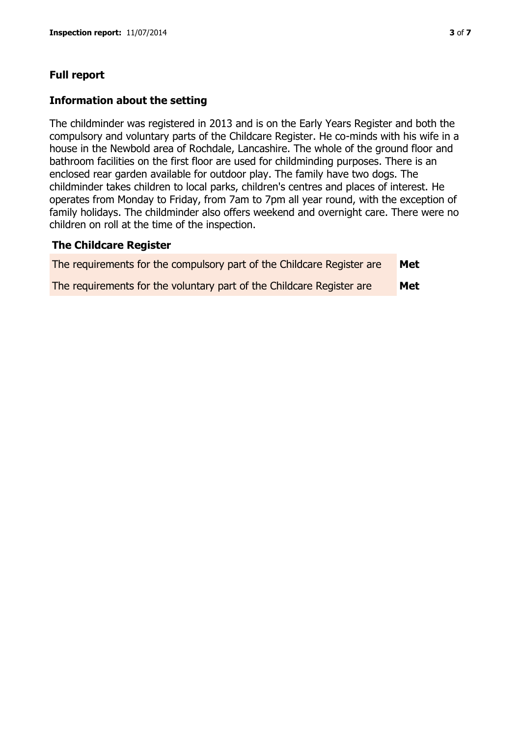## **Full report**

#### **Information about the setting**

The childminder was registered in 2013 and is on the Early Years Register and both the compulsory and voluntary parts of the Childcare Register. He co-minds with his wife in a house in the Newbold area of Rochdale, Lancashire. The whole of the ground floor and bathroom facilities on the first floor are used for childminding purposes. There is an enclosed rear garden available for outdoor play. The family have two dogs. The childminder takes children to local parks, children's centres and places of interest. He operates from Monday to Friday, from 7am to 7pm all year round, with the exception of family holidays. The childminder also offers weekend and overnight care. There were no children on roll at the time of the inspection.

#### **The Childcare Register**

| The requirements for the compulsory part of the Childcare Register are | Met |
|------------------------------------------------------------------------|-----|
| The requirements for the voluntary part of the Childcare Register are  | Met |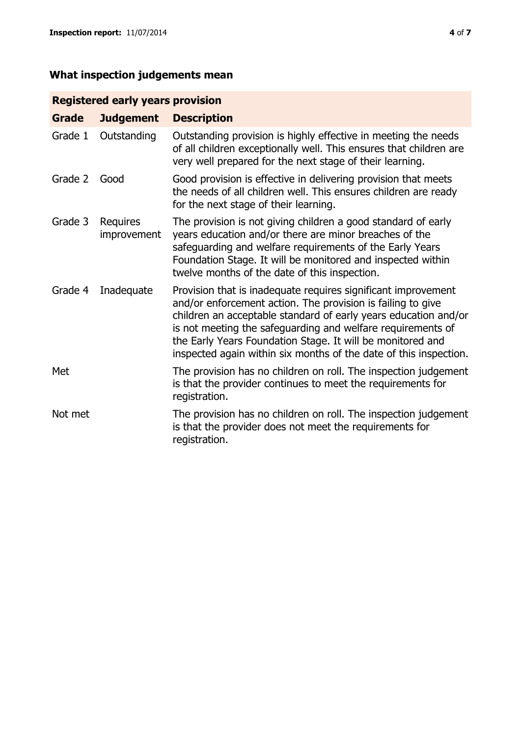# **What inspection judgements mean**

## **Registered early years provision**

| <b>Grade</b> | <b>Judgement</b>        | <b>Description</b>                                                                                                                                                                                                                                                                                                                                                                                |
|--------------|-------------------------|---------------------------------------------------------------------------------------------------------------------------------------------------------------------------------------------------------------------------------------------------------------------------------------------------------------------------------------------------------------------------------------------------|
| Grade 1      | Outstanding             | Outstanding provision is highly effective in meeting the needs<br>of all children exceptionally well. This ensures that children are<br>very well prepared for the next stage of their learning.                                                                                                                                                                                                  |
| Grade 2      | Good                    | Good provision is effective in delivering provision that meets<br>the needs of all children well. This ensures children are ready<br>for the next stage of their learning.                                                                                                                                                                                                                        |
| Grade 3      | Requires<br>improvement | The provision is not giving children a good standard of early<br>years education and/or there are minor breaches of the<br>safeguarding and welfare requirements of the Early Years<br>Foundation Stage. It will be monitored and inspected within<br>twelve months of the date of this inspection.                                                                                               |
| Grade 4      | Inadequate              | Provision that is inadequate requires significant improvement<br>and/or enforcement action. The provision is failing to give<br>children an acceptable standard of early years education and/or<br>is not meeting the safeguarding and welfare requirements of<br>the Early Years Foundation Stage. It will be monitored and<br>inspected again within six months of the date of this inspection. |
| Met          |                         | The provision has no children on roll. The inspection judgement<br>is that the provider continues to meet the requirements for<br>registration.                                                                                                                                                                                                                                                   |
| Not met      |                         | The provision has no children on roll. The inspection judgement<br>is that the provider does not meet the requirements for<br>registration.                                                                                                                                                                                                                                                       |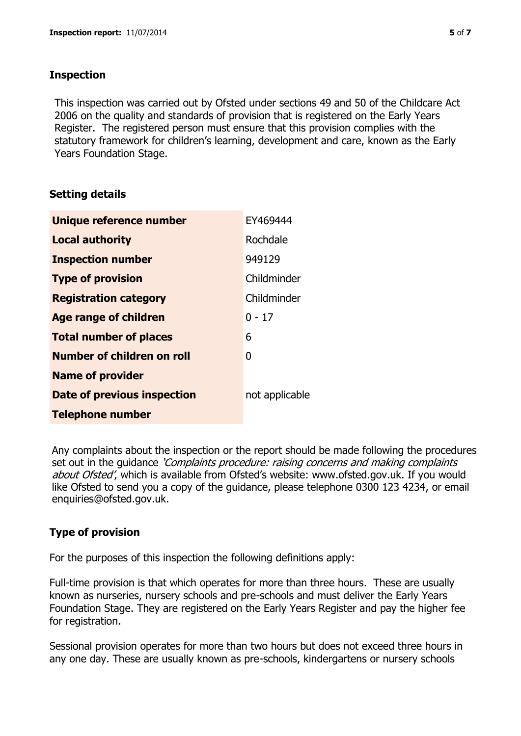## **Inspection**

This inspection was carried out by Ofsted under sections 49 and 50 of the Childcare Act 2006 on the quality and standards of provision that is registered on the Early Years Register. The registered person must ensure that this provision complies with the statutory framework for children's learning, development and care, known as the Early Years Foundation Stage.

## **Setting details**

| Unique reference number       | EY469444       |
|-------------------------------|----------------|
| <b>Local authority</b>        | Rochdale       |
| <b>Inspection number</b>      | 949129         |
| <b>Type of provision</b>      | Childminder    |
| <b>Registration category</b>  | Childminder    |
| <b>Age range of children</b>  | 0 - 17         |
| <b>Total number of places</b> | 6              |
| Number of children on roll    | 0              |
| <b>Name of provider</b>       |                |
| Date of previous inspection   | not applicable |
| <b>Telephone number</b>       |                |

Any complaints about the inspection or the report should be made following the procedures set out in the guidance *'Complaints procedure: raising concerns and making complaints* about Ofsted', which is available from Ofsted's website: www.ofsted.gov.uk. If you would like Ofsted to send you a copy of the guidance, please telephone 0300 123 4234, or email enquiries@ofsted.gov.uk.

## **Type of provision**

For the purposes of this inspection the following definitions apply:

Full-time provision is that which operates for more than three hours. These are usually known as nurseries, nursery schools and pre-schools and must deliver the Early Years Foundation Stage. They are registered on the Early Years Register and pay the higher fee for registration.

Sessional provision operates for more than two hours but does not exceed three hours in any one day. These are usually known as pre-schools, kindergartens or nursery schools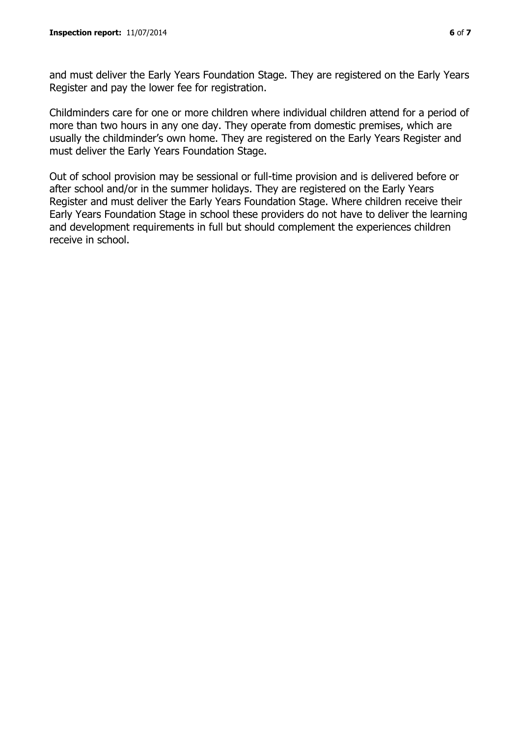and must deliver the Early Years Foundation Stage. They are registered on the Early Years Register and pay the lower fee for registration.

Childminders care for one or more children where individual children attend for a period of more than two hours in any one day. They operate from domestic premises, which are usually the childminder's own home. They are registered on the Early Years Register and must deliver the Early Years Foundation Stage.

Out of school provision may be sessional or full-time provision and is delivered before or after school and/or in the summer holidays. They are registered on the Early Years Register and must deliver the Early Years Foundation Stage. Where children receive their Early Years Foundation Stage in school these providers do not have to deliver the learning and development requirements in full but should complement the experiences children receive in school.